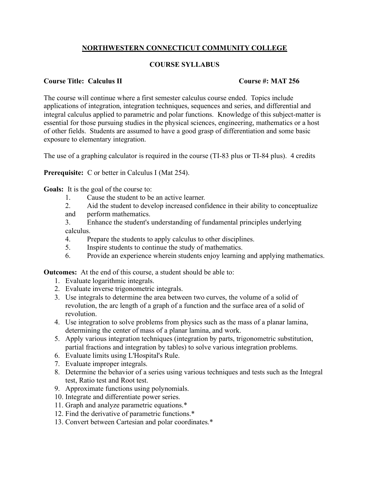## **NORTHWESTERN CONNECTICUT COMMUNITY COLLEGE**

## **COURSE SYLLABUS**

## **Course Title: Calculus II Course #: MAT 256**

The course will continue where a first semester calculus course ended. Topics include applications of integration, integration techniques, sequences and series, and differential and integral calculus applied to parametric and polar functions. Knowledge of this subject-matter is essential for those pursuing studies in the physical sciences, engineering, mathematics or a host of other fields. Students are assumed to have a good grasp of differentiation and some basic exposure to elementary integration.

The use of a graphing calculator is required in the course (TI-83 plus or TI-84 plus). 4 credits

**Prerequisite:** C or better in Calculus I (Mat 254).

**Goals:** It is the goal of the course to:

- 1. Cause the student to be an active learner.
- 2. Aid the student to develop increased confidence in their ability to conceptualize
- and perform mathematics.
- 3. Enhance the student's understanding of fundamental principles underlying calculus.
- 4. Prepare the students to apply calculus to other disciplines.
- 5. Inspire students to continue the study of mathematics.
- 6. Provide an experience wherein students enjoy learning and applying mathematics.

**Outcomes:** At the end of this course, a student should be able to:

- 1. Evaluate logarithmic integrals.
- 2. Evaluate inverse trigonometric integrals.
- 3. Use integrals to determine the area between two curves, the volume of a solid of revolution, the arc length of a graph of a function and the surface area of a solid of revolution.
- 4. Use integration to solve problems from physics such as the mass of a planar lamina, determining the center of mass of a planar lamina, and work.
- 5. Apply various integration techniques (integration by parts, trigonometric substitution, partial fractions and integration by tables) to solve various integration problems.
- 6. Evaluate limits using L'Hospital's Rule.
- 7. Evaluate improper integrals.
- 8. Determine the behavior of a series using various techniques and tests such as the Integral test, Ratio test and Root test.
- 9. Approximate functions using polynomials.
- 10. Integrate and differentiate power series.
- 11. Graph and analyze parametric equations.\*
- 12. Find the derivative of parametric functions.\*
- 13. Convert between Cartesian and polar coordinates.\*